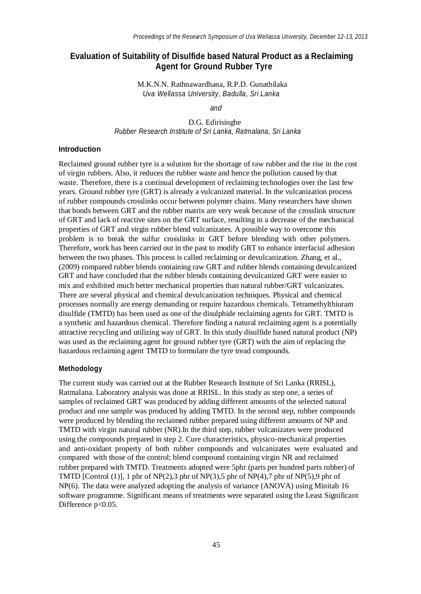# **Evaluation of Suitability of Disulfide based Natural Product as a Reclaiming Agent for Ground Rubber Tyre**

M.K.N.N. Rathnawardhana, R.P.D. Gunathilaka *Uva Wellassa University, Badulla, Sri Lanka*

*and*

D.G. Edirisinghe *Rubber Research Institute of Sri Lanka, Ratmalana, Sri Lanka*

## **Introduction**

Reclaimed ground rubber tyre is a solution for the shortage of raw rubber and the rise in the cost of virgin rubbers. Also, it reduces the rubber waste and hence the pollution caused by that waste. Therefore, there is a continual development of reclaiming technologies over the last few years. Ground rubber tyre (GRT) is already a vulcanized material. In the vulcanization process of rubber compounds crosslinks occur between polymer chains. Many researchers have shown that bonds between GRT and the rubber matrix are very weak because of the crosslink structure of GRT and lack of reactive sites on the GRT surface, resulting in a decrease of the mechanical properties of GRT and virgin rubber blend vulcanizates. A possible way to overcome this problem is to break the sulfur crosslinks in GRT before blending with other polymers. Therefore, work has been carried out in the past to modify GRT to enhance interfacial adhesion between the two phases. This process is called reclaiming or devulcanization. Zhang, et al., (2009) compared rubber blends containing raw GRT and rubber blends containing devulcanized GRT and have concluded that the rubber blends containing devulcanized GRT were easier to mix and exhibited much better mechanical properties than natural rubber/GRT vulcanizates. There are several physical and chemical devulcanization techniques. Physical and chemical processes normally are energy demanding or require hazardous chemicals. Tetramethylthiuram disulfide (TMTD) has been used as one of the disulphide reclaiming agents for GRT. TMTD is a synthetic and hazardous chemical. Therefore finding a natural reclaiming agent is a potentially attractive recycling and utilizing way of GRT. In this study disulfide based natural product (NP) was used as the reclaiming agent for ground rubber tyre (GRT) with the aim of replacing the hazardous reclaiming agent TMTD to formulate the tyre tread compounds.

### **Methodology**

The current study was carried out at the Rubber Research Institute of Sri Lanka (RRISL), Ratmalana. Laboratory analysis was done at RRISL. In this study as step one, a series of samples of reclaimed GRT was produced by adding different amounts of the selected natural product and one sample was produced by adding TMTD. In the second step, rubber compounds were produced by blending the reclaimed rubber prepared using different amounts of NP and TMTD with virgin natural rubber (NR).In the third step, rubber vulcanizates were produced using the compounds prepared in step 2. Cure characteristics, physico-mechanical properties and anti-oxidant property of both rubber compounds and vulcanizates were evaluated and compared with those of the control; blend compound containing virgin NR and reclaimed rubber prepared with TMTD. Treatments adopted were 5phr (parts per hundred parts rubber) of TMTD [Control (1)], 1 phr of NP(2), 3 phr of NP(3), 5 phr of NP(4), 7 phr of NP(5), 9 phr of NP(6). The data were analyzed adopting the analysis of variance (ANOVA) using Minitab 16 software programme. Significant means of treatments were separated using the Least Significant Difference p<0.05.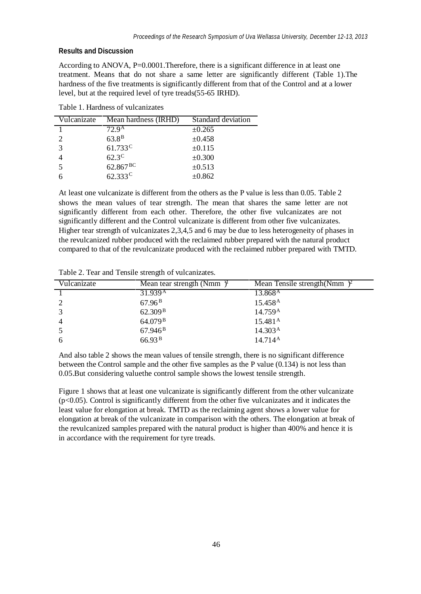### **Results and Discussion**

According to ANOVA, P=0.0001.Therefore, there is a significant difference in at least one treatment. Means that do not share a same letter are significantly different (Table 1).The hardness of the five treatments is significantly different from that of the Control and at a lower level, but at the required level of tyre treads(55-65 IRHD).

Table 1. Hardness of vulcanizates

| Vulcanizate   | Mean hardness (IRHD) | Standard deviation |
|---------------|----------------------|--------------------|
|               | $72.9^{\rm A}$       | $\pm 0.265$        |
|               | 63.8 <sup>B</sup>    | $\pm 0.458$        |
| $\mathcal{R}$ | $61.733^{\circ}$     | $\pm 0.115$        |
|               | $62.3^{\circ}$       | $\pm 0.300$        |
|               | $62.867^{BC}$        | $\pm 0.513$        |
|               | $62.333^{\circ}$     | $\pm 0.862$        |

At least one vulcanizate is different from the others as the P value is less than 0.05. Table 2 shows the mean values of tear strength. The mean that shares the same letter are not significantly different from each other. Therefore, the other five vulcanizates are not significantly different and the Control vulcanizate is different from other five vulcanizates. Higher tear strength of vulcanizates 2,3,4,5 and 6 may be due to less heterogeneity of phases in the revulcanized rubber produced with the reclaimed rubber prepared with the natural product compared to that of the revulcanizate produced with the reclaimed rubber prepared with TMTD.

Table 2. Tear and Tensile strength of vulcanizates.

| Vulcanizate    | Mean tear strength (Nmm) <sup><math>\mu</math></sup> | Mean Tensile strength (Nmm $)$ <sup>2</sup> |
|----------------|------------------------------------------------------|---------------------------------------------|
|                | 31.939A                                              | 13.868 <sup>A</sup>                         |
| 2              | $67.96^{\,\mathrm{B}}$                               | 15.458 <sup>A</sup>                         |
| 3              | 62.309 <sup>B</sup>                                  | 14.759 <sup>A</sup>                         |
| $\overline{4}$ | 64.079 <sup>B</sup>                                  | 15.481 <sup>A</sup>                         |
| -5             | 67.946 <sup>B</sup>                                  | 14.303 <sup>A</sup>                         |
| 6              | 66.93 B                                              | $14.714^{\rm A}$                            |

And also table 2 shows the mean values of tensile strength, there is no significant difference between the Control sample and the other five samples as the P value (0.134) is not less than 0.05.But considering valuethe control sample shows the lowest tensile strength.

Figure 1 shows that at least one vulcanizate is significantly different from the other vulcanizate  $(p<0.05)$ . Control is significantly different from the other five vulcanizates and it indicates the least value for elongation at break. TMTD as the reclaiming agent shows a lower value for elongation at break of the vulcanizate in comparison with the others. The elongation at break of the revulcanized samples prepared with the natural product is higher than 400% and hence it is in accordance with the requirement for tyre treads.